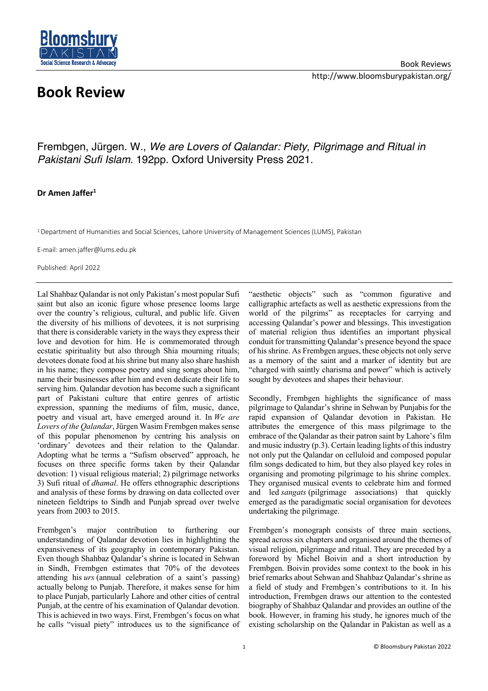

## **Book Review**

Frembgen, Jürgen. W., *We are Lovers of Qalandar: Piety, Pilgrimage and Ritual in Pakistani Sufi Islam.* 192pp. Oxford University Press 2021.

## **Dr Amen Jaffer1**

1 Department of Humanities and Social Sciences, Lahore University of Management Sciences (LUMS), Pakistan

E-mail: amen.jaffer@lums.edu.pk

Published: April 2022

Lal Shahbaz Qalandar is not only Pakistan's most popular Sufi saint but also an iconic figure whose presence looms large over the country's religious, cultural, and public life. Given the diversity of his millions of devotees, it is not surprising that there is considerable variety in the ways they express their love and devotion for him. He is commemorated through ecstatic spirituality but also through Shia mourning rituals; devotees donate food at his shrine but many also share hashish in his name; they compose poetry and sing songs about him, name their businesses after him and even dedicate their life to serving him. Qalandar devotion has become such a significant part of Pakistani culture that entire genres of artistic expression, spanning the mediums of film, music, dance, poetry and visual art, have emerged around it. In *We are Lovers of the Qalandar*, Jürgen Wasim Frembgen makes sense of this popular phenomenon by centring his analysis on 'ordinary' devotees and their relation to the Qalandar. Adopting what he terms a "Sufism observed" approach, he focuses on three specific forms taken by their Qalandar devotion: 1) visual religious material; 2) pilgrimage networks 3) Sufi ritual of *dhamal*. He offers ethnographic descriptions and analysis of these forms by drawing on data collected over nineteen fieldtrips to Sindh and Punjab spread over twelve years from 2003 to 2015.

Frembgen's major contribution to furthering our understanding of Qalandar devotion lies in highlighting the expansiveness of its geography in contemporary Pakistan. Even though Shahbaz Qalandar's shrine is located in Sehwan in Sindh, Frembgen estimates that 70% of the devotees attending his *urs* (annual celebration of a saint's passing) actually belong to Punjab. Therefore, it makes sense for him to place Punjab, particularly Lahore and other cities of central Punjab, at the centre of his examination of Qalandar devotion. This is achieved in two ways. First, Frembgen's focus on what he calls "visual piety" introduces us to the significance of

"aesthetic objects" such as "common figurative and calligraphic artefacts as well as aesthetic expressions from the world of the pilgrims" as receptacles for carrying and accessing Qalandar's power and blessings. This investigation of material religion thus identifies an important physical conduit for transmitting Qalandar's presence beyond the space of his shrine. As Frembgen argues, these objects not only serve as a memory of the saint and a marker of identity but are "charged with saintly charisma and power" which is actively sought by devotees and shapes their behaviour.

Secondly, Frembgen highlights the significance of mass pilgrimage to Qalandar's shrine in Sehwan by Punjabis for the rapid expansion of Qalandar devotion in Pakistan. He attributes the emergence of this mass pilgrimage to the embrace of the Qalandar as their patron saint by Lahore's film and music industry (p.3). Certain leading lights of this industry not only put the Qalandar on celluloid and composed popular film songs dedicated to him, but they also played key roles in organising and promoting pilgrimage to his shrine complex. They organised musical events to celebrate him and formed and led *sangats* (pilgrimage associations) that quickly emerged as the paradigmatic social organisation for devotees undertaking the pilgrimage.

Frembgen's monograph consists of three main sections, spread across six chapters and organised around the themes of visual religion, pilgrimage and ritual. They are preceded by a foreword by Michel Boivin and a short introduction by Frembgen. Boivin provides some context to the book in his brief remarks about Sehwan and Shahbaz Qalandar's shrine as a field of study and Frembgen's contributions to it. In his introduction, Frembgen draws our attention to the contested biography of Shahbaz Qalandar and provides an outline of the book. However, in framing his study, he ignores much of the existing scholarship on the Qalandar in Pakistan as well as a